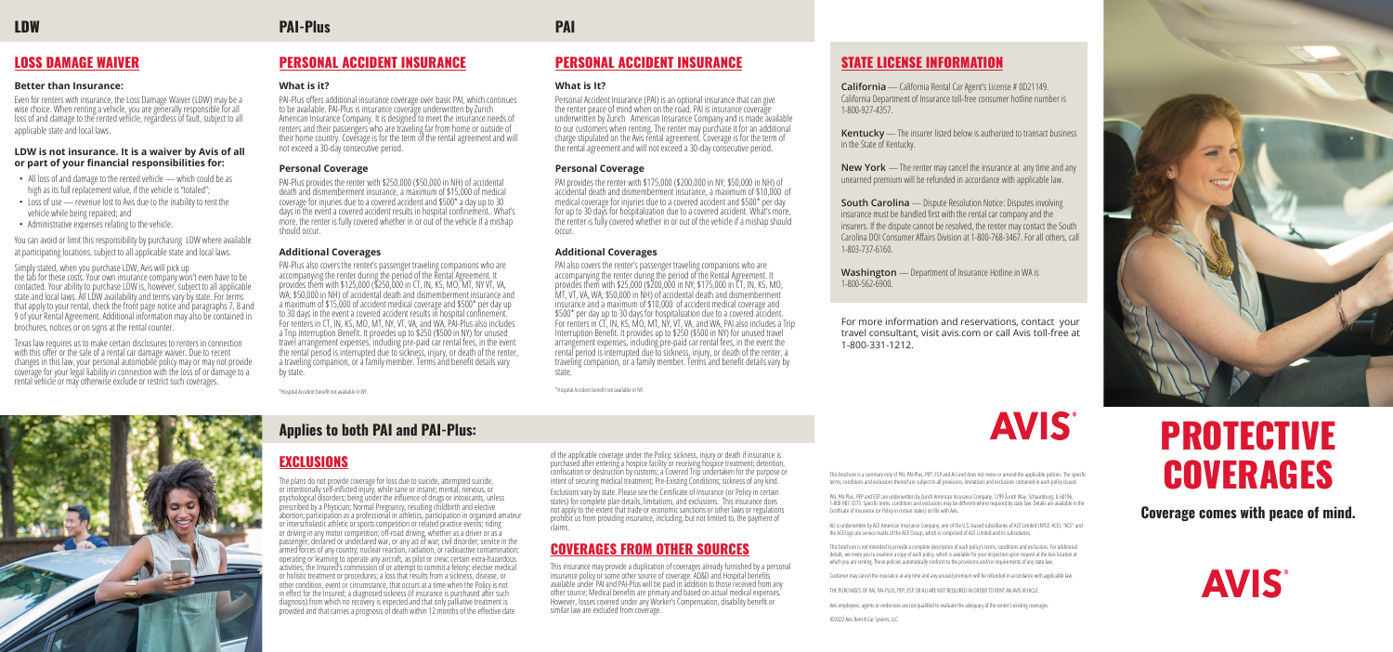**Coverage comes with peace of mind.**



# STATE LICENSE INFORMATION

**California** — California Rental Car Agent's License # 0D21149. California Department of Insurance toll-free consumer hotline number is

1-800-927-4357.

**Kentucky** — The insurer listed below is authorized to transact business in the State of Kentucky.

**South Carolina** — Dispute Resolution Notice: Disputes involving insurance must be handled first with the rental car company and the insurers. If the dispute cannot be resolved, the renter may contact the South Carolina DOI Consumer Affairs Division at 1-800-768-3467. For all others, call

**New York** — The renter may cancel the insurance at any time and any unearned premium will be refunded in accordance with applicable law.

1-803-737-6160.

**Washington** — Department of Insurance Hotline in WA is

1-800-562-6900.

For more information and reservations, contact your travel consultant, visit avis.com or call Avis toll-free at



1-800-331-1212.



This brochure is a summary only of PAI, PAI-Plus, PEP, ESP and ALI and does not revise or amend the applicable policies. The specific terms, conditions and exclusions thereof are subject to all provisions, limitations and exclusions contained in each policy issued.



# PROTECTIVE **COVERAGES**

PAI, PAI-Plus, PEP and ESP are underwritten by Zurich American Insurance Company, 1299 Zurich Way, Schaumburg, IL 60196, 1-800-987-3373. Specific terms, conditions and exclusions may be different where required by state law. Details are available in the Certificate of Insurance (or Policy in certain states) on file with Avis.

ALI is underwritten by ACE American Insurance Company, one of the U.S.-based subsidiaries of ACE Limited (NYSE: ACE). "ACE" and the ACE logo are service marks of the ACE Group, which is comprised of ACE Limited and its subsidiaries.

This brochure is not intended to provide a complete description of each policy's terms, conditions and exclusions. For additional details, we invite you to examine a copy of each policy, which is available for your inspection upon request at the Avis location at which you are renting. These policies automatically conform to the provisions and/or requirements of any state law.

Customer may cancel the insurance at any time and any unused premium will be refunded in accordance with applicable law.

THE PURCHASES OF PAI, PAI-PLUS, PEP, ESP OR ALI ARE NOT REQUIRED IN ORDER TO RENT AN AVIS VEHICLE.

Avis employees, agents or endorsees are not qualified to evaluate the adequacy of the renter's existing coverages.

©2022 Avis Rent A Car System, LLC

# PERSONAL ACCIDENT INSURANCE

#### **What is It?**

Personal Accident Insurance (PAI) is an optional insurance that can give the renter peace of mind when on the road. PAI is insurance coverage underwritten by Zurich American Insurance Company and is made available to our customers when renting. The renter may purchase it for an additional charge stipulated on the Avis rental agreement. Coverage is for the term of the rental agreement and will not exceed a 30-day consecutive period.

#### **Personal Coverage**

PAI provides the renter with \$175,000 (\$200,000 in NY; \$50,000 in NH) of accidental death and dismemberment insurance, a maximum of \$10,000 of medical coverage for injuries due to a covered accident and \$500\* per day for up to 30 days for hospitalization due to a covered accident. What's more, the renter is fully covered whether in or out of the vehicle if a mishap should occur.

### **Additional Coverages**

of the applicable coverage under the Policy; sickness, injury or death if insurance is purchased after entering a hospice facility or receiving hospice treatment; detention, confiscation or destruction by customs; a Covered Trip undertaken for the purpose or intent of securing medical treatment; Pre-Existing Conditions; sickness of any kind.

PAI also covers the renter's passenger traveling companions who are accompanying the renter during the period of the Rental Agreement. It provides them with \$25,000 (\$200,000 in NY; \$175,000 in CT, IN, KS, MO, MT, VT, VA, WA; \$50,000 in NH) of accidental death and dismemberment insurance and a maximum of \$10,000 of accident medical coverage and \$500\* per day up to 30 days for hospitalization due to a covered accident. For renters in CT, IN, KS, MO, MT, NY, VT, VA, and WA, PAI also includes a Trip Interruption Benefit. It provides up to \$250 (\$500 in NY) for unused travel arrangement expenses, including pre-paid car rental fees, in the event the rental period is interrupted due to sickness, injury, or death of the renter, a traveling companion, or a family member. Terms and benefit details vary by state.

This insurance may provide a duplication of coverages already furnished by a personal insurance policy or some other source of coverage. AD&D and Hospital benefits available under PAI and PAI-Plus will be paid in addition to those received from any<br>other source; Medical benefits are primary and based on actual medical expenses. However, losses covered under any Worker's Compensation, disability benefit or similar law are excluded from coverage.

\*Hospital Accident benefit not available in NY.

# PERSONAL ACCIDENT INSURANCE

#### **What is it?**

PAI-Plus offers additional insurance coverage over basic PAI, which continues to be available. PAI-Plus is insurance coverage underwritten by Zurich American Insurance Company. It is designed to meet the insurance needs of renters and their passengers who are traveling far from home or outside of their home country. Coverage is for the term of the rental agreement and will not exceed a 30-day consecutive period.

- All loss of and damage to the rented vehicle which could be as high as its full replacement value, if the vehicle is "totaled";
- Loss of use revenue lost to Avis due to the inability to rent the vehicle while being repaired; and
- Administrative expenses relating to the vehicle.

### **Personal Coverage**

PAI-Plus provides the renter with \$250,000 (\$50,000 in NH) of accidental death and dismemberment insurance, a maximum of \$15,000 of medical coverage for injuries due to a covered accident and \$500\* a day up to 30 days in the event a covered accident results in hospital confinement.. What's more, the renter is fully covered whether in or out of the vehicle if a mishap should occur.

#### **Additional Coverages**

PAI-Plus also covers the renter's passenger traveling companions who are accompanying the renter during the period of the Rental Agreement. It provides them with \$125,000 (\$250,000 in CT, IN, KS, MO, MT, NY VT, VA, WA; \$50,000 in NH) of accidental death and dismemberment insurance and a maximum of \$15,000 of accident medical coverage and \$500\* per day up to 30 days in the event a covered accident results in hospital confinement. For renters in CT, IN, KS, MO, MT, NY, VT, VA, and WA, PAI-Plus also includes a Trip Interruption Benefit. It provides up to \$250 (\$500 in NY) for unused travel arrangement expenses, including pre-paid car rental fees, in the event the rental period is interrupted due to sickness, injury, or death of the renter, a traveling companion, or a family member. Terms and benefit details vary by state.

\*Hospital Accident benefit not available in NY.

# EXCLUSIONS

The plans do not provide coverage for loss due to suicide, attempted suicide, or intentionally self-inflicted injury, while sane or insane; mental, nervous, or psychological disorders; being under the influence of drugs or intoxicants, unless prescribed by a Physician; Normal Pregnancy, resulting childbirth and elective<br>abortion; participation as a professional in athletics, participation in organized amateur or interscholastic athletic or sports competition or related practice events; riding or driving in any motor competition; off-road driving, whether as a driver or as a passenger; declared or undeclared war, or any act of war; civil disorder; service in the armed forces of any country; nuclear reaction, radiation, or radioactive contamination; operating or learning to operate any aircraft, as pilot or crew; certain extra-hazardous or holistic treatment or procedures; a loss that results from a sickness, disease, or other condition, event or circumstance, that occurs at a time when the Policy is not in effect for the Insured; a diagnosed sickness (if insurance is purchased after such diagnosis) from which no recovery is expected and that only palliative treatment is provided and that carries a prognosis of death within 12 months of the effective date

Exclusions vary by state. Please see the Certificate of Insurance (or Policy in certain states) for complete plan details, limitations, and exclusions. This insurance does not apply to the extent that trade or economic sanctions or other laws or regulations prohibit us from providing insurance, including, but not limited to, the payment of claims.

# COVERAGES FROM OTHER SOURCES

# **PAI-Plus PAI**

# **Applies to both PAI and PAI-Plus:**

# LOSS DAMAGE WAIVER

#### **Better than Insurance:**

Even for renters with insurance, the Loss Damage Waiver (LDW) may be a wise choice. When renting a vehicle, you are generally responsible for all loss of and damage to the rented vehicle, regardless of fault, subject to all applicable state and local laws.

### **LDW is not insurance. It is a waiver by Avis of all or part of your financial responsibilities for:**

You can avoid or limit this responsibility by purchasing LDW where available at participating locations, subject to all applicable state and local laws.

Simply stated, when you purchase LDW, Avis will pick up the tab for these costs. Your own insurance company won't even have to be contacted. Your ability to purchase LDW is, however, subject to all applicable state and local laws. All LDW availability and terms vary by state. For terms that apply to your rental, check the front page notice and paragraphs 7, 8 and 9 of your Rental Agreement. Additional information may also be contained in brochures, notices or on signs at the rental counter.

Texas law requires us to make certain disclosures to renters in connection with this offer or the sale of a rental car damage waiver. Due to recent changes in this law, your personal automobile policy may or may not provide coverage for your legal liability in connection with the loss of or damage to a rental vehicle or may otherwise exclude or restrict such coverages.